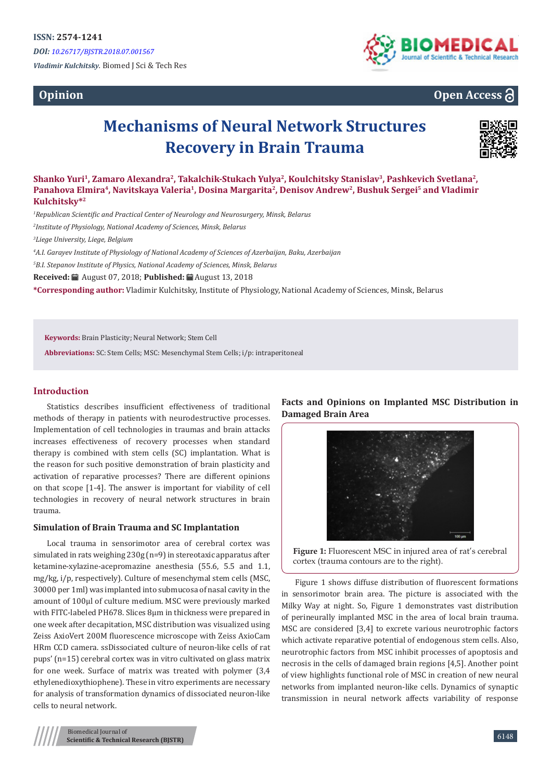**Opinion**



# **Open Access**

# **Mechanisms of Neural Network Structures Recovery in Brain Trauma**



**Shanko Yuri<sup>1</sup>, Zamaro Alexandra<sup>2</sup>, Takalchik-Stukach Yulya<sup>2</sup>, Koulchitsky Stanislav<sup>3</sup>, Pashkevich Svetlana2, Panahova Elmira<sup>4</sup>, Navitskaya Valeria<sup>1</sup>, Dosina Margarita<sup>2</sup>, Denisov Andrew<sup>2</sup>, Bushuk Sergei<sup>5</sup> and Vladimir Kulchitsky\*<sup>2</sup>**

*1 Republican Scientific and Practical Center of Neurology and Neurosurgery, Minsk, Belarus*

*2 Institute of Physiology, National Academy of Sciences, Minsk, Belarus*

*3 Liege University, Liege, Belgium*

*4 A.I. Garayev Institute of Physiology of National Academy of Sciences of Azerbaijan, Baku, Azerbaijan*

*5 B.I. Stepanov Institute of Physics, National Academy of Sciences, Minsk, Belarus*

**Received:** August 07, 2018; **Published:** August 13, 2018

**\*Corresponding author:** Vladimir Kulchitsky, Institute of Physiology, National Academy of Sciences, Minsk, Belarus

**Keywords:** Brain Plasticity; Neural Network; Stem Cell

**Abbreviations:** SC: Stem Cells; MSC: Mesenchymal Stem Cells; i/p: intraperitoneal

# **Introduction**

Statistics describes insufficient effectiveness of traditional methods of therapy in patients with neurodestructive processes. Implementation of cell technologies in traumas and brain attacks increases effectiveness of recovery processes when standard therapy is combined with stem cells (SC) implantation. What is the reason for such positive demonstration of brain plasticity and activation of reparative processes? There are different opinions on that scope [1-4]. The answer is important for viability of cell technologies in recovery of neural network structures in brain trauma.

# **Simulation of Brain Trauma and SC Implantation**

Local trauma in sensorimotor area of cerebral cortex was simulated in rats weighing 230g (n=9) in stereotaxic apparatus after ketamine-xylazine-acepromazine anesthesia (55.6, 5.5 and 1.1, mg/kg, i/p, respectively). Culture of mesenchymal stem cells (MSC, 30000 per 1ml) was implanted into submucosa of nasal cavity in the amount of 100µl of culture medium. MSC were previously marked with FITC-labeled PH678. Slices 8µm in thickness were prepared in one week after decapitation, MSC distribution was visualized using Zeiss AxioVert 200M fluorescence microscope with Zeiss AxioCam HRm CCD camera. ssDissociated culture of neuron-like cells of rat pups' (n=15) cerebral cortex was in vitro cultivated on glass matrix for one week. Surface of matrix was treated with polymer (3,4 ethylenedioxythiophene). These in vitro experiments are necessary for analysis of transformation dynamics of dissociated neuron-like cells to neural network.

**Facts and Opinions on Implanted MSC Distribution in Damaged Brain Area**





Figure 1 shows diffuse distribution of fluorescent formations in sensorimotor brain area. The picture is associated with the Milky Way at night. So, Figure 1 demonstrates vast distribution of perineurally implanted MSC in the area of local brain trauma. MSC are considered [3,4] to excrete various neurotrophic factors which activate reparative potential of endogenous stem cells. Also, neurotrophic factors from MSC inhibit processes of apoptosis and necrosis in the cells of damaged brain regions [4,5]. Another point of view highlights functional role of MSC in creation of new neural networks from implanted neuron-like cells. Dynamics of synaptic transmission in neural network affects variability of response